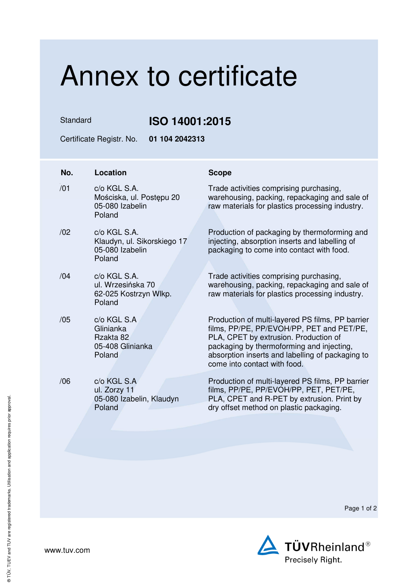## Annex to certificate

Standard **ISO 14001:2015** 

Certificate Registr. No. **01 104 2042313** 

| No. | Location                                                                 | <b>Scope</b>                                                                                                                                                                                                                                                            |
|-----|--------------------------------------------------------------------------|-------------------------------------------------------------------------------------------------------------------------------------------------------------------------------------------------------------------------------------------------------------------------|
| /01 | c/o KGL S.A.<br>Mościska, ul. Postępu 20<br>05-080 Izabelin<br>Poland    | Trade activities comprising purchasing,<br>warehousing, packing, repackaging and sale of<br>raw materials for plastics processing industry.                                                                                                                             |
| /02 | c/o KGL S.A.<br>Klaudyn, ul. Sikorskiego 17<br>05-080 Izabelin<br>Poland | Production of packaging by thermoforming and<br>injecting, absorption inserts and labelling of<br>packaging to come into contact with food.                                                                                                                             |
| /04 | c/o KGL S.A.<br>ul. Wrzesińska 70<br>62-025 Kostrzyn Wlkp.<br>Poland     | Trade activities comprising purchasing,<br>warehousing, packing, repackaging and sale of<br>raw materials for plastics processing industry.                                                                                                                             |
| /05 | c/o KGL S.A<br>Glinianka<br>Rzakta 82<br>05-408 Glinianka<br>Poland      | Production of multi-layered PS films, PP barrier<br>films, PP/PE, PP/EVOH/PP, PET and PET/PE,<br>PLA, CPET by extrusion. Production of<br>packaging by thermoforming and injecting,<br>absorption inserts and labelling of packaging to<br>come into contact with food. |
| /06 | c/o KGL S.A<br>ul. Zorzy 11<br>05-080 Izabelin, Klaudyn<br>Poland        | Production of multi-layered PS films, PP barrier<br>films, PP/PE, PP/EVOH/PP, PET, PET/PE,<br>PLA, CPET and R-PET by extrusion. Print by<br>dry offset method on plastic packaging.                                                                                     |
|     |                                                                          |                                                                                                                                                                                                                                                                         |

Page 1 of 2